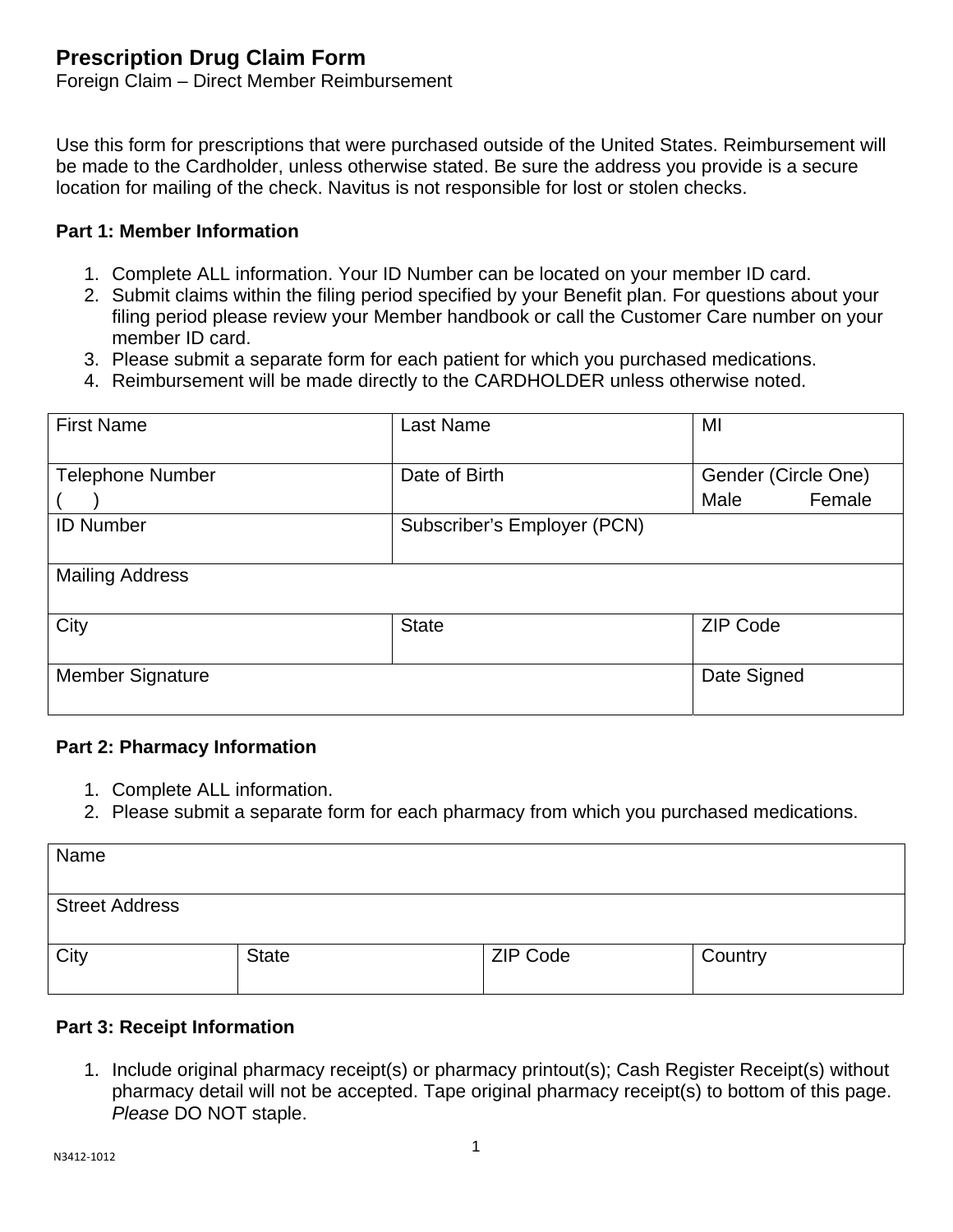# **Prescription Drug Claim Form**

Foreign Claim – Direct Member Reimbursement

Use this form for prescriptions that were purchased outside of the United States. Reimbursement will be made to the Cardholder, unless otherwise stated. Be sure the address you provide is a secure location for mailing of the check. Navitus is not responsible for lost or stolen checks.

### **Part 1: Member Information**

- 1. Complete ALL information. Your ID Number can be located on your member ID card.
- 2. Submit claims within the filing period specified by your Benefit plan. For questions about your filing period please review your Member handbook or call the Customer Care number on your member ID card.
- 3. Please submit a separate form for each patient for which you purchased medications.
- 4. Reimbursement will be made directly to the CARDHOLDER unless otherwise noted.

| <b>First Name</b>       | <b>Last Name</b>            | MI                  |
|-------------------------|-----------------------------|---------------------|
|                         |                             |                     |
| <b>Telephone Number</b> | Date of Birth               | Gender (Circle One) |
|                         |                             | Female<br>Male      |
| <b>ID Number</b>        | Subscriber's Employer (PCN) |                     |
|                         |                             |                     |
| <b>Mailing Address</b>  |                             |                     |
|                         |                             |                     |
| City                    | <b>State</b>                | <b>ZIP Code</b>     |
|                         |                             |                     |
| Member Signature        |                             | Date Signed         |
|                         |                             |                     |

#### **Part 2: Pharmacy Information**

- 1. Complete ALL information.
- 2. Please submit a separate form for each pharmacy from which you purchased medications.

| Name                  |              |                 |         |
|-----------------------|--------------|-----------------|---------|
| <b>Street Address</b> |              |                 |         |
| City                  | <b>State</b> | <b>ZIP Code</b> | Country |

#### **Part 3: Receipt Information**

1. Include original pharmacy receipt(s) or pharmacy printout(s); Cash Register Receipt(s) without pharmacy detail will not be accepted. Tape original pharmacy receipt(s) to bottom of this page. *Please* DO NOT staple.